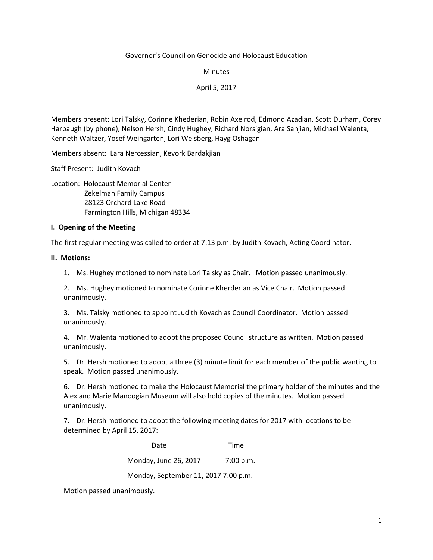#### Governor's Council on Genocide and Holocaust Education

**Minutes** 

April 5, 2017

Members present: Lori Talsky, Corinne Khederian, Robin Axelrod, Edmond Azadian, Scott Durham, Corey Harbaugh (by phone), Nelson Hersh, Cindy Hughey, Richard Norsigian, Ara Sanjian, Michael Walenta, Kenneth Waltzer, Yosef Weingarten, Lori Weisberg, Hayg Oshagan

Members absent: Lara Nercessian, Kevork Bardakjian

Staff Present: Judith Kovach

Location: Holocaust Memorial Center Zekelman Family Campus

 28123 Orchard Lake Road Farmington Hills, Michigan 48334

### **I. Opening of the Meeting**

The first regular meeting was called to order at 7:13 p.m. by Judith Kovach, Acting Coordinator.

#### **II. Motions:**

1. Ms. Hughey motioned to nominate Lori Talsky as Chair. Motion passed unanimously.

2. Ms. Hughey motioned to nominate Corinne Kherderian as Vice Chair. Motion passed unanimously.

3. Ms. Talsky motioned to appoint Judith Kovach as Council Coordinator. Motion passed unanimously.

4. Mr. Walenta motioned to adopt the proposed Council structure as written. Motion passed unanimously.

5. Dr. Hersh motioned to adopt a three (3) minute limit for each member of the public wanting to speak. Motion passed unanimously.

6. Dr. Hersh motioned to make the Holocaust Memorial the primary holder of the minutes and the Alex and Marie Manoogian Museum will also hold copies of the minutes. Motion passed unanimously.

7. Dr. Hersh motioned to adopt the following meeting dates for 2017 with locations to be determined by April 15, 2017:

**Date** Time Monday, June 26, 2017 7:00 p.m. Monday, September 11, 2017 7:00 p.m.

Motion passed unanimously.